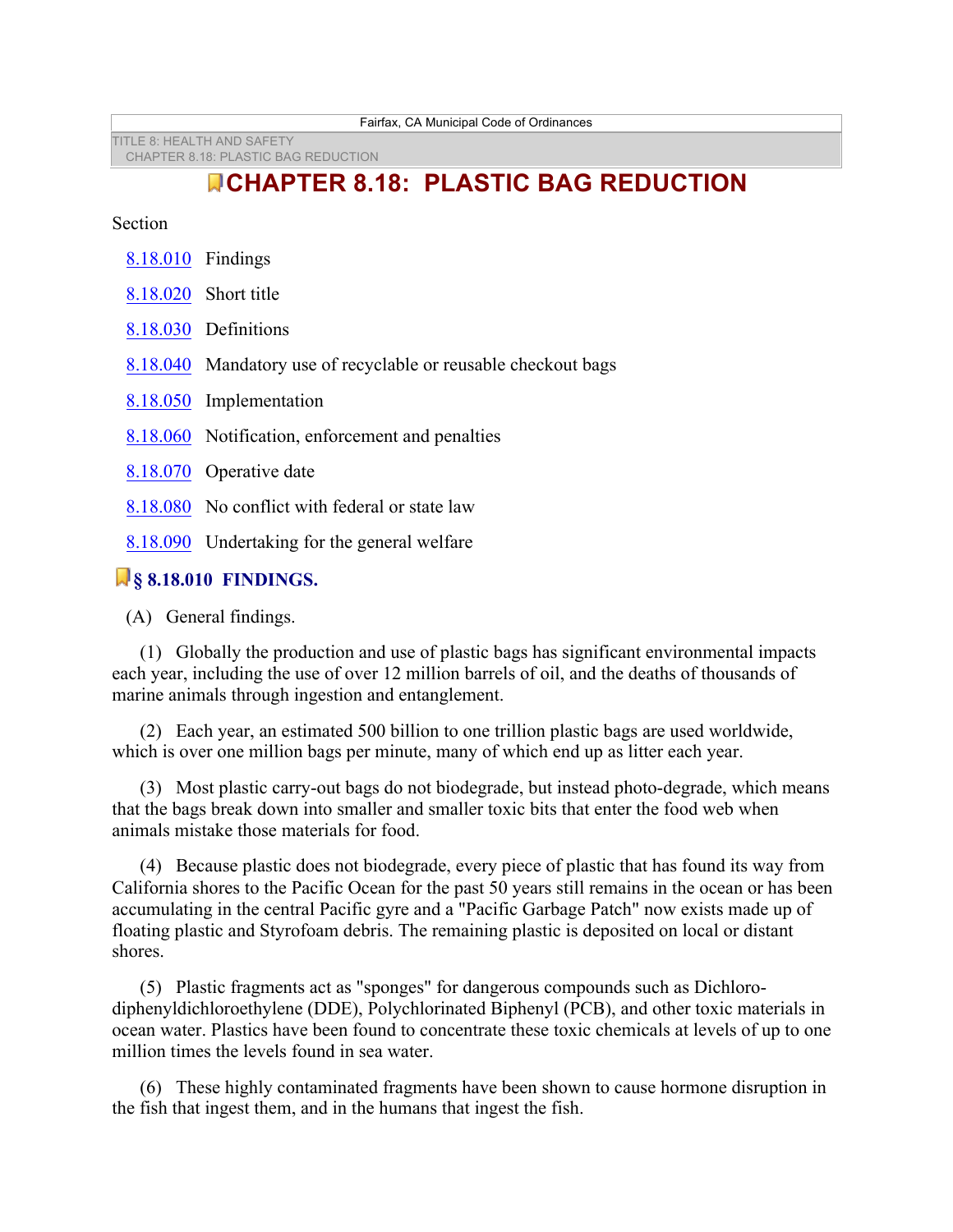TITLE 8: HEALTH AND SAFETY CHAPTER 8.18: PLASTIC BAG REDUCTION

# **CHAPTER 8.18: PLASTIC BAG REDUCTION**

**Section** 

| 8.18.010 Findings                       |                                                                |  |
|-----------------------------------------|----------------------------------------------------------------|--|
|                                         | 8.18.020 Short title                                           |  |
|                                         | 8.18.030 Definitions                                           |  |
|                                         | 8.18.040 Mandatory use of recyclable or reusable checkout bags |  |
|                                         | 8.18.050 Implementation                                        |  |
|                                         | 8.18.060 Notification, enforcement and penalties               |  |
|                                         | 8.18.070 Operative date                                        |  |
|                                         | 8.18.080 No conflict with federal or state law                 |  |
|                                         | 8.18.090 Undertaking for the general welfare                   |  |
| <b>The experience were the contract</b> |                                                                |  |

# **§ 8.18.010 FINDINGS.**

(A) General findings.

 (1) Globally the production and use of plastic bags has significant environmental impacts each year, including the use of over 12 million barrels of oil, and the deaths of thousands of marine animals through ingestion and entanglement.

 (2) Each year, an estimated 500 billion to one trillion plastic bags are used worldwide, which is over one million bags per minute, many of which end up as litter each year.

 (3) Most plastic carry-out bags do not biodegrade, but instead photo-degrade, which means that the bags break down into smaller and smaller toxic bits that enter the food web when animals mistake those materials for food.

 (4) Because plastic does not biodegrade, every piece of plastic that has found its way from California shores to the Pacific Ocean for the past 50 years still remains in the ocean or has been accumulating in the central Pacific gyre and a "Pacific Garbage Patch" now exists made up of floating plastic and Styrofoam debris. The remaining plastic is deposited on local or distant shores.

 (5) Plastic fragments act as "sponges" for dangerous compounds such as Dichlorodiphenyldichloroethylene (DDE), Polychlorinated Biphenyl (PCB), and other toxic materials in ocean water. Plastics have been found to concentrate these toxic chemicals at levels of up to one million times the levels found in sea water.

 (6) These highly contaminated fragments have been shown to cause hormone disruption in the fish that ingest them, and in the humans that ingest the fish.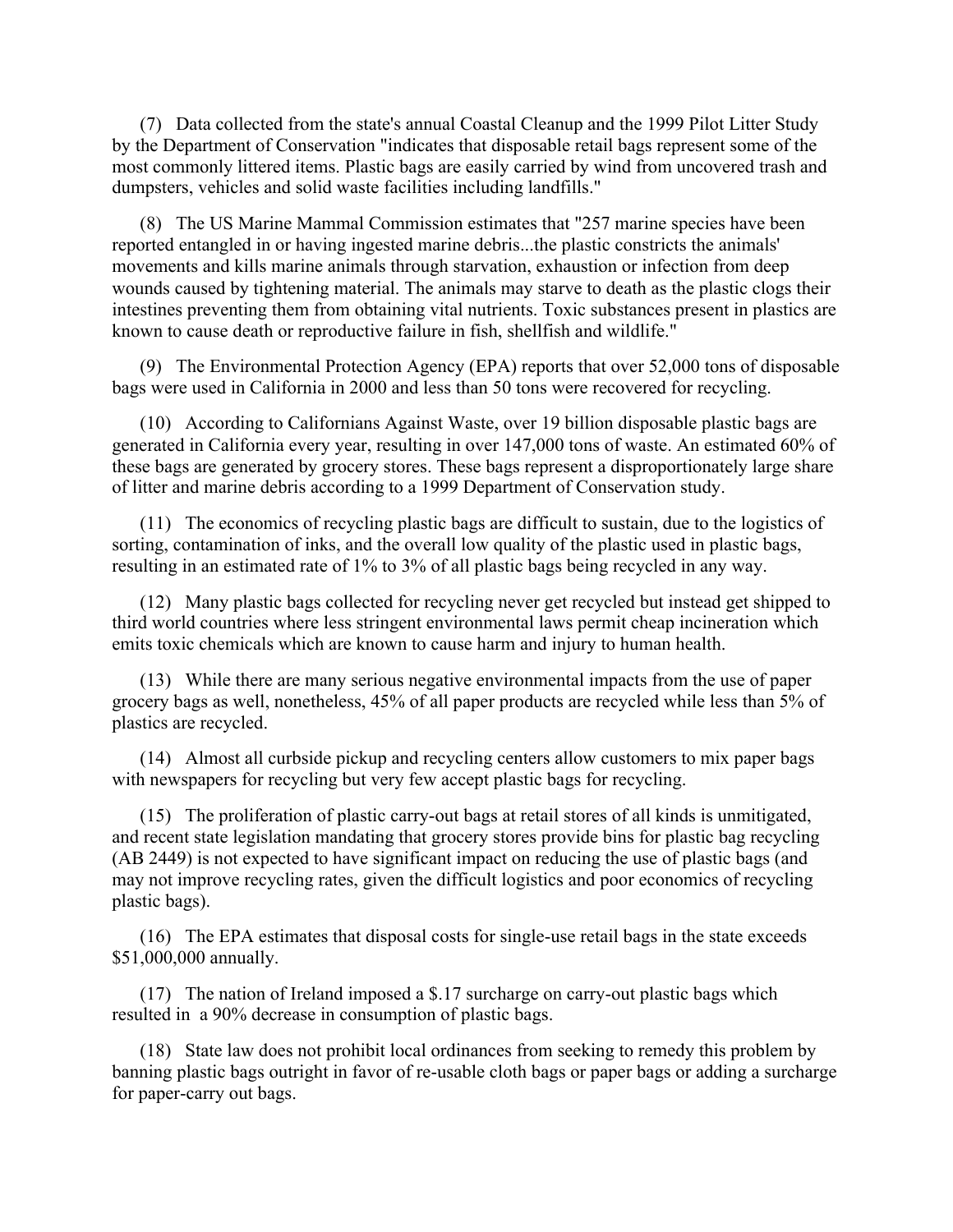(7) Data collected from the state's annual Coastal Cleanup and the 1999 Pilot Litter Study by the Department of Conservation "indicates that disposable retail bags represent some of the most commonly littered items. Plastic bags are easily carried by wind from uncovered trash and dumpsters, vehicles and solid waste facilities including landfills."

 (8) The US Marine Mammal Commission estimates that "257 marine species have been reported entangled in or having ingested marine debris...the plastic constricts the animals' movements and kills marine animals through starvation, exhaustion or infection from deep wounds caused by tightening material. The animals may starve to death as the plastic clogs their intestines preventing them from obtaining vital nutrients. Toxic substances present in plastics are known to cause death or reproductive failure in fish, shellfish and wildlife."

 (9) The Environmental Protection Agency (EPA) reports that over 52,000 tons of disposable bags were used in California in 2000 and less than 50 tons were recovered for recycling.

 (10) According to Californians Against Waste, over 19 billion disposable plastic bags are generated in California every year, resulting in over 147,000 tons of waste. An estimated 60% of these bags are generated by grocery stores. These bags represent a disproportionately large share of litter and marine debris according to a 1999 Department of Conservation study.

 (11) The economics of recycling plastic bags are difficult to sustain, due to the logistics of sorting, contamination of inks, and the overall low quality of the plastic used in plastic bags, resulting in an estimated rate of 1% to 3% of all plastic bags being recycled in any way.

 (12) Many plastic bags collected for recycling never get recycled but instead get shipped to third world countries where less stringent environmental laws permit cheap incineration which emits toxic chemicals which are known to cause harm and injury to human health.

 (13) While there are many serious negative environmental impacts from the use of paper grocery bags as well, nonetheless, 45% of all paper products are recycled while less than 5% of plastics are recycled.

 (14) Almost all curbside pickup and recycling centers allow customers to mix paper bags with newspapers for recycling but very few accept plastic bags for recycling.

 (15) The proliferation of plastic carry-out bags at retail stores of all kinds is unmitigated, and recent state legislation mandating that grocery stores provide bins for plastic bag recycling (AB 2449) is not expected to have significant impact on reducing the use of plastic bags (and may not improve recycling rates, given the difficult logistics and poor economics of recycling plastic bags).

 (16) The EPA estimates that disposal costs for single-use retail bags in the state exceeds \$51,000,000 annually.

 (17) The nation of Ireland imposed a \$.17 surcharge on carry-out plastic bags which resulted in a 90% decrease in consumption of plastic bags.

 (18) State law does not prohibit local ordinances from seeking to remedy this problem by banning plastic bags outright in favor of re-usable cloth bags or paper bags or adding a surcharge for paper-carry out bags.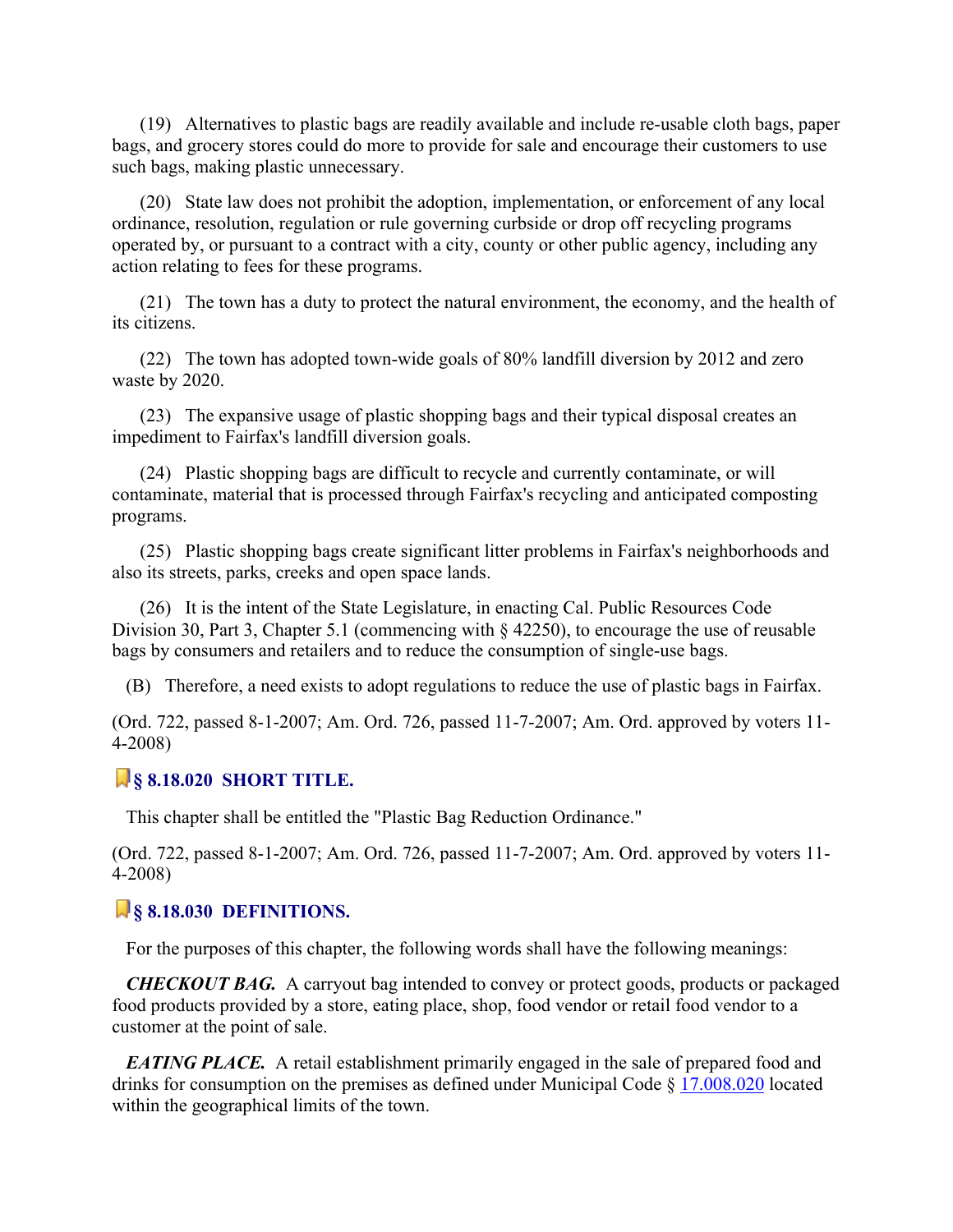(19) Alternatives to plastic bags are readily available and include re-usable cloth bags, paper bags, and grocery stores could do more to provide for sale and encourage their customers to use such bags, making plastic unnecessary.

 (20) State law does not prohibit the adoption, implementation, or enforcement of any local ordinance, resolution, regulation or rule governing curbside or drop off recycling programs operated by, or pursuant to a contract with a city, county or other public agency, including any action relating to fees for these programs.

 (21) The town has a duty to protect the natural environment, the economy, and the health of its citizens.

 (22) The town has adopted town-wide goals of 80% landfill diversion by 2012 and zero waste by 2020.

 (23) The expansive usage of plastic shopping bags and their typical disposal creates an impediment to Fairfax's landfill diversion goals.

 (24) Plastic shopping bags are difficult to recycle and currently contaminate, or will contaminate, material that is processed through Fairfax's recycling and anticipated composting programs.

 (25) Plastic shopping bags create significant litter problems in Fairfax's neighborhoods and also its streets, parks, creeks and open space lands.

 (26) It is the intent of the State Legislature, in enacting Cal. Public Resources Code Division 30, Part 3, Chapter 5.1 (commencing with § 42250), to encourage the use of reusable bags by consumers and retailers and to reduce the consumption of single-use bags.

(B) Therefore, a need exists to adopt regulations to reduce the use of plastic bags in Fairfax.

(Ord. 722, passed 8-1-2007; Am. Ord. 726, passed 11-7-2007; Am. Ord. approved by voters 11- 4-2008)

### **§ 8.18.020 SHORT TITLE.**

This chapter shall be entitled the "Plastic Bag Reduction Ordinance."

(Ord. 722, passed 8-1-2007; Am. Ord. 726, passed 11-7-2007; Am. Ord. approved by voters 11- 4-2008)

#### **§ 8.18.030 DEFINITIONS.**

For the purposes of this chapter, the following words shall have the following meanings:

 *CHECKOUT BAG.* A carryout bag intended to convey or protect goods, products or packaged food products provided by a store, eating place, shop, food vendor or retail food vendor to a customer at the point of sale.

*EATING PLACE.* A retail establishment primarily engaged in the sale of prepared food and drinks for consumption on the premises as defined under Municipal Code § 17.008.020 located within the geographical limits of the town.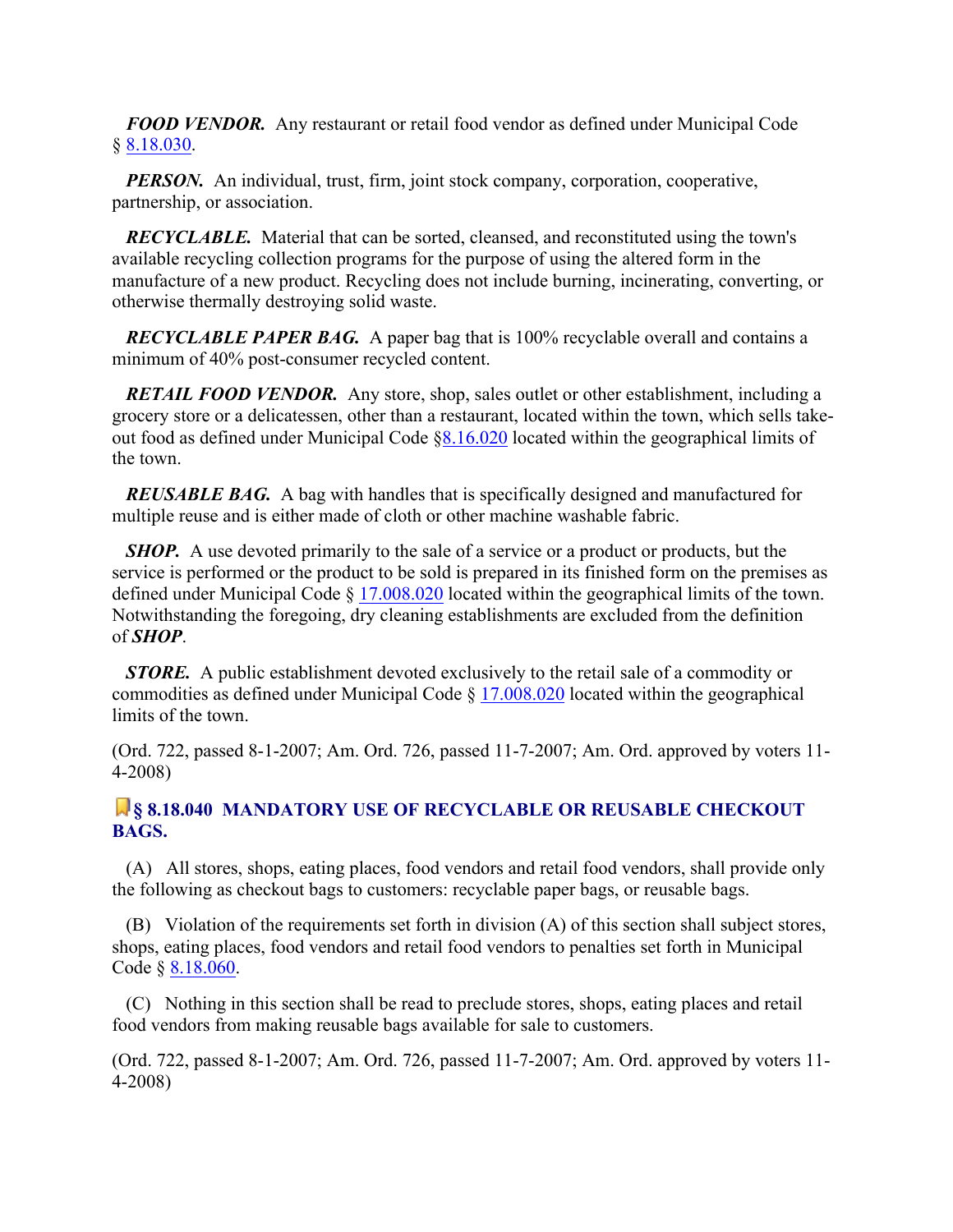*FOOD VENDOR.* Any restaurant or retail food vendor as defined under Municipal Code § 8.18.030.

*PERSON.* An individual, trust, firm, joint stock company, corporation, cooperative, partnership, or association.

 *RECYCLABLE.* Material that can be sorted, cleansed, and reconstituted using the town's available recycling collection programs for the purpose of using the altered form in the manufacture of a new product. Recycling does not include burning, incinerating, converting, or otherwise thermally destroying solid waste.

 *RECYCLABLE PAPER BAG.* A paper bag that is 100% recyclable overall and contains a minimum of 40% post-consumer recycled content.

*RETAIL FOOD VENDOR.* Any store, shop, sales outlet or other establishment, including a grocery store or a delicatessen, other than a restaurant, located within the town, which sells takeout food as defined under Municipal Code §8.16.020 located within the geographical limits of the town.

 *REUSABLE BAG.* A bag with handles that is specifically designed and manufactured for multiple reuse and is either made of cloth or other machine washable fabric.

*SHOP.* A use devoted primarily to the sale of a service or a product or products, but the service is performed or the product to be sold is prepared in its finished form on the premises as defined under Municipal Code § 17.008.020 located within the geographical limits of the town. Notwithstanding the foregoing, dry cleaning establishments are excluded from the definition of *SHOP*.

*STORE.* A public establishment devoted exclusively to the retail sale of a commodity or commodities as defined under Municipal Code § 17.008.020 located within the geographical limits of the town.

(Ord. 722, passed 8-1-2007; Am. Ord. 726, passed 11-7-2007; Am. Ord. approved by voters 11- 4-2008)

## **§ 8.18.040 MANDATORY USE OF RECYCLABLE OR REUSABLE CHECKOUT BAGS.**

 (A) All stores, shops, eating places, food vendors and retail food vendors, shall provide only the following as checkout bags to customers: recyclable paper bags, or reusable bags.

 (B) Violation of the requirements set forth in division (A) of this section shall subject stores, shops, eating places, food vendors and retail food vendors to penalties set forth in Municipal Code § 8.18.060.

 (C) Nothing in this section shall be read to preclude stores, shops, eating places and retail food vendors from making reusable bags available for sale to customers.

(Ord. 722, passed 8-1-2007; Am. Ord. 726, passed 11-7-2007; Am. Ord. approved by voters 11- 4-2008)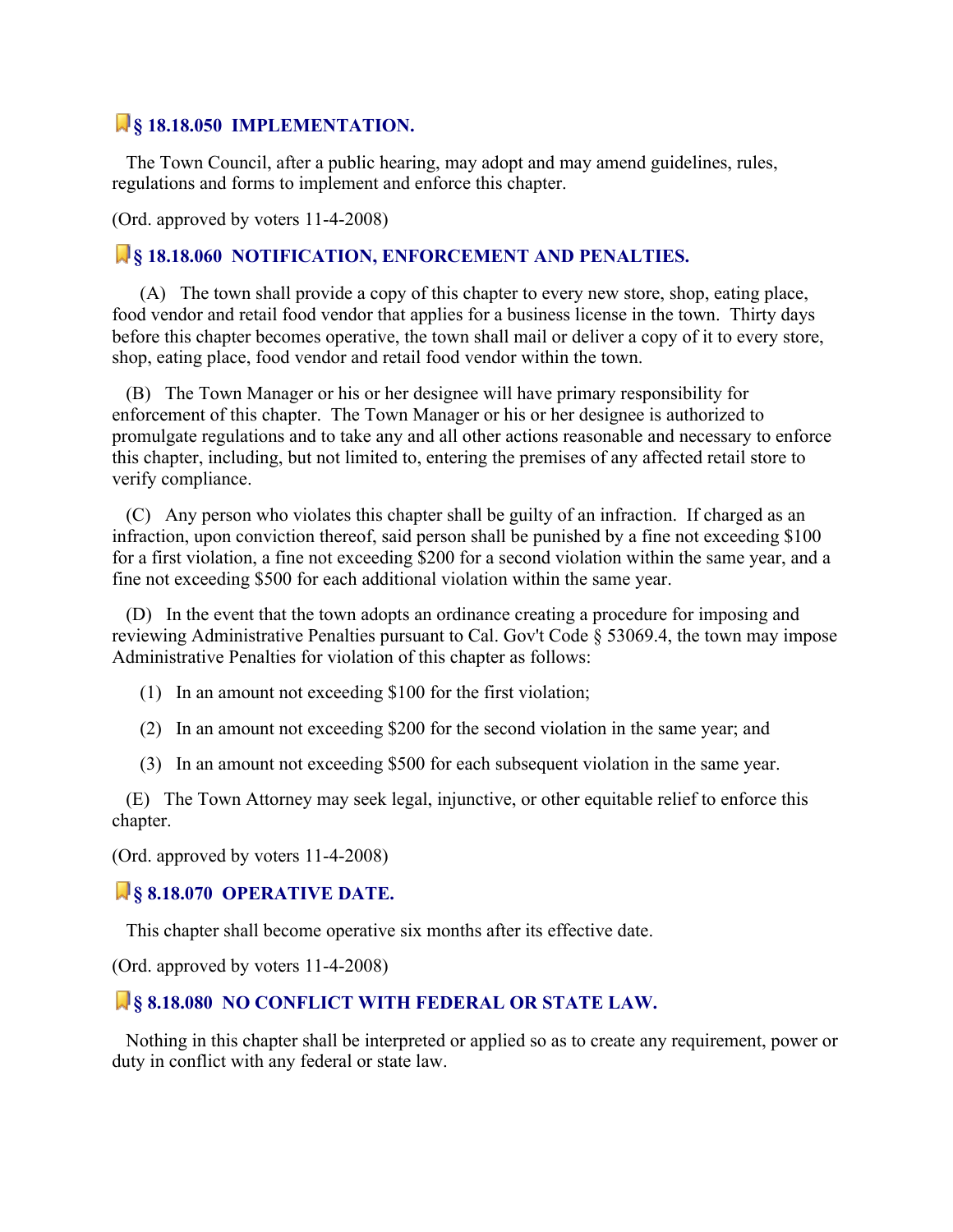# **§ 18.18.050 IMPLEMENTATION.**

 The Town Council, after a public hearing, may adopt and may amend guidelines, rules, regulations and forms to implement and enforce this chapter.

(Ord. approved by voters 11-4-2008)

#### **§ 18.18.060 NOTIFICATION, ENFORCEMENT AND PENALTIES.**

 (A) The town shall provide a copy of this chapter to every new store, shop, eating place, food vendor and retail food vendor that applies for a business license in the town. Thirty days before this chapter becomes operative, the town shall mail or deliver a copy of it to every store, shop, eating place, food vendor and retail food vendor within the town.

 (B) The Town Manager or his or her designee will have primary responsibility for enforcement of this chapter. The Town Manager or his or her designee is authorized to promulgate regulations and to take any and all other actions reasonable and necessary to enforce this chapter, including, but not limited to, entering the premises of any affected retail store to verify compliance.

 (C) Any person who violates this chapter shall be guilty of an infraction. If charged as an infraction, upon conviction thereof, said person shall be punished by a fine not exceeding \$100 for a first violation, a fine not exceeding \$200 for a second violation within the same year, and a fine not exceeding \$500 for each additional violation within the same year.

 (D) In the event that the town adopts an ordinance creating a procedure for imposing and reviewing Administrative Penalties pursuant to Cal. Gov't Code § 53069.4, the town may impose Administrative Penalties for violation of this chapter as follows:

- (1) In an amount not exceeding \$100 for the first violation;
- (2) In an amount not exceeding \$200 for the second violation in the same year; and
- (3) In an amount not exceeding \$500 for each subsequent violation in the same year.

 (E) The Town Attorney may seek legal, injunctive, or other equitable relief to enforce this chapter.

(Ord. approved by voters 11-4-2008)

#### **§ 8.18.070 OPERATIVE DATE.**

This chapter shall become operative six months after its effective date.

(Ord. approved by voters 11-4-2008)

#### **§ 8.18.080 NO CONFLICT WITH FEDERAL OR STATE LAW.**

 Nothing in this chapter shall be interpreted or applied so as to create any requirement, power or duty in conflict with any federal or state law.